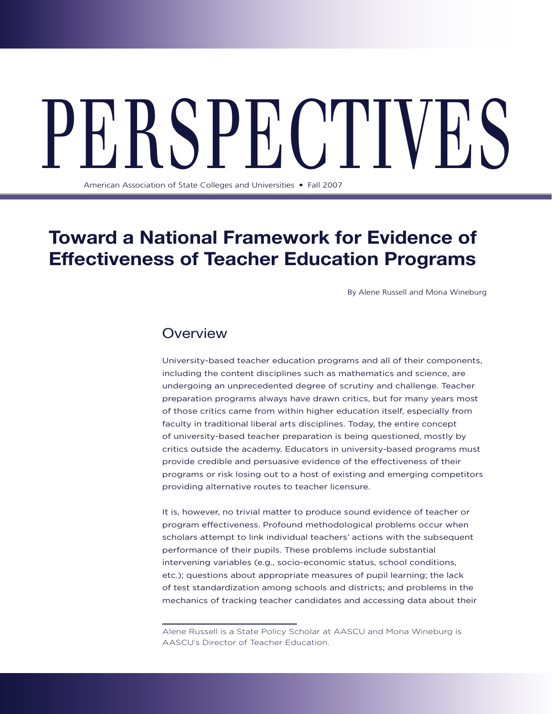# PERCEPT NUMBER OF State Colleges and Universities • Fall 2007

American Association of State Colleges and Universities • Fall 2007

# **Toward a National Framework for Evidence of Effectiveness of Teacher Education Programs**

By Alene Russell and Mona Wineburg

# **Overview**

University-based teacher education programs and all of their components, including the content disciplines such as mathematics and science, are undergoing an unprecedented degree of scrutiny and challenge. Teacher preparation programs always have drawn critics, but for many years most of those critics came from within higher education itself, especially from faculty in traditional liberal arts disciplines. Today, the entire concept of university-based teacher preparation is being questioned, mostly by critics outside the academy. Educators in university-based programs must provide credible and persuasive evidence of the effectiveness of their programs or risk losing out to a host of existing and emerging competitors providing alternative routes to teacher licensure.

It is, however, no trivial matter to produce sound evidence of teacher or program effectiveness. Profound methodological problems occur when scholars attempt to link individual teachers' actions with the subsequent performance of their pupils. These problems include substantial intervening variables (e.g., socio-economic status, school conditions, etc.); questions about appropriate measures of pupil learning; the lack of test standardization among schools and districts; and problems in the mechanics of tracking teacher candidates and accessing data about their

Alene Russell is a State Policy Scholar at AASCU and Mona Wineburg is AASCU's Director of Teacher Education.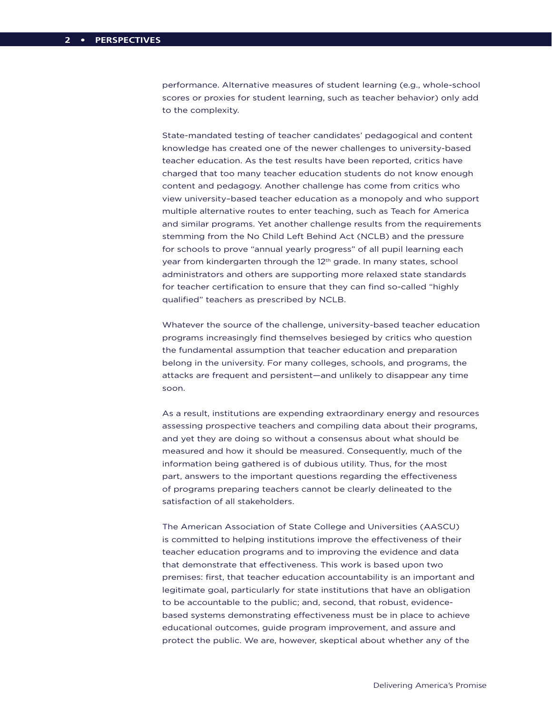performance. Alternative measures of student learning (e.g., whole-school scores or proxies for student learning, such as teacher behavior) only add to the complexity.

State-mandated testing of teacher candidates' pedagogical and content knowledge has created one of the newer challenges to university-based teacher education. As the test results have been reported, critics have charged that too many teacher education students do not know enough content and pedagogy. Another challenge has come from critics who view university–based teacher education as a monopoly and who support multiple alternative routes to enter teaching, such as Teach for America and similar programs. Yet another challenge results from the requirements stemming from the No Child Left Behind Act (NCLB) and the pressure for schools to prove "annual yearly progress" of all pupil learning each year from kindergarten through the 12<sup>th</sup> grade. In many states, school administrators and others are supporting more relaxed state standards for teacher certification to ensure that they can find so-called "highly qualified" teachers as prescribed by NCLB.

Whatever the source of the challenge, university-based teacher education programs increasingly find themselves besieged by critics who question the fundamental assumption that teacher education and preparation belong in the university. For many colleges, schools, and programs, the attacks are frequent and persistent—and unlikely to disappear any time soon.

As a result, institutions are expending extraordinary energy and resources assessing prospective teachers and compiling data about their programs, and yet they are doing so without a consensus about what should be measured and how it should be measured. Consequently, much of the information being gathered is of dubious utility. Thus, for the most part, answers to the important questions regarding the effectiveness of programs preparing teachers cannot be clearly delineated to the satisfaction of all stakeholders.

The American Association of State College and Universities (AASCU) is committed to helping institutions improve the effectiveness of their teacher education programs and to improving the evidence and data that demonstrate that effectiveness. This work is based upon two premises: first, that teacher education accountability is an important and legitimate goal, particularly for state institutions that have an obligation to be accountable to the public; and, second, that robust, evidencebased systems demonstrating effectiveness must be in place to achieve educational outcomes, guide program improvement, and assure and protect the public. We are, however, skeptical about whether any of the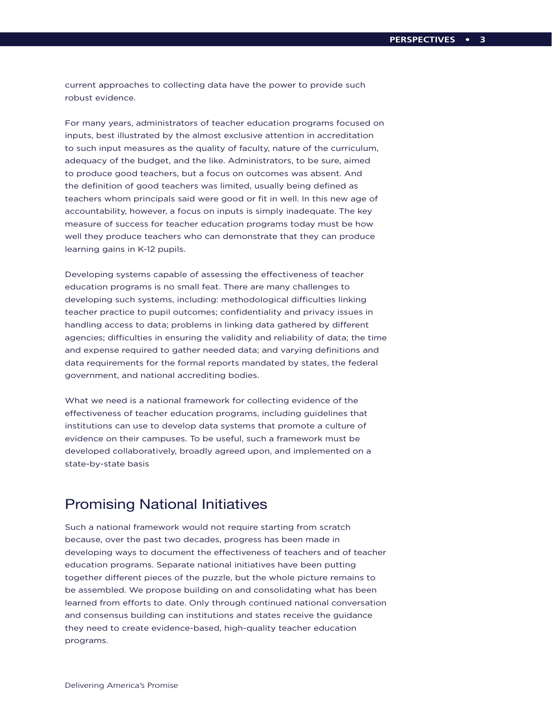current approaches to collecting data have the power to provide such robust evidence.

For many years, administrators of teacher education programs focused on inputs, best illustrated by the almost exclusive attention in accreditation to such input measures as the quality of faculty, nature of the curriculum, adequacy of the budget, and the like. Administrators, to be sure, aimed to produce good teachers, but a focus on outcomes was absent. And the definition of good teachers was limited, usually being defined as teachers whom principals said were good or fit in well. In this new age of accountability, however, a focus on inputs is simply inadequate. The key measure of success for teacher education programs today must be how well they produce teachers who can demonstrate that they can produce learning gains in K-12 pupils.

Developing systems capable of assessing the effectiveness of teacher education programs is no small feat. There are many challenges to developing such systems, including: methodological difficulties linking teacher practice to pupil outcomes; confidentiality and privacy issues in handling access to data; problems in linking data gathered by different agencies; difficulties in ensuring the validity and reliability of data; the time and expense required to gather needed data; and varying definitions and data requirements for the formal reports mandated by states, the federal government, and national accrediting bodies.

What we need is a national framework for collecting evidence of the effectiveness of teacher education programs, including guidelines that institutions can use to develop data systems that promote a culture of evidence on their campuses. To be useful, such a framework must be developed collaboratively, broadly agreed upon, and implemented on a state-by-state basis

# Promising National Initiatives

Such a national framework would not require starting from scratch because, over the past two decades, progress has been made in developing ways to document the effectiveness of teachers and of teacher education programs. Separate national initiatives have been putting together different pieces of the puzzle, but the whole picture remains to be assembled. We propose building on and consolidating what has been learned from efforts to date. Only through continued national conversation and consensus building can institutions and states receive the guidance they need to create evidence-based, high-quality teacher education programs.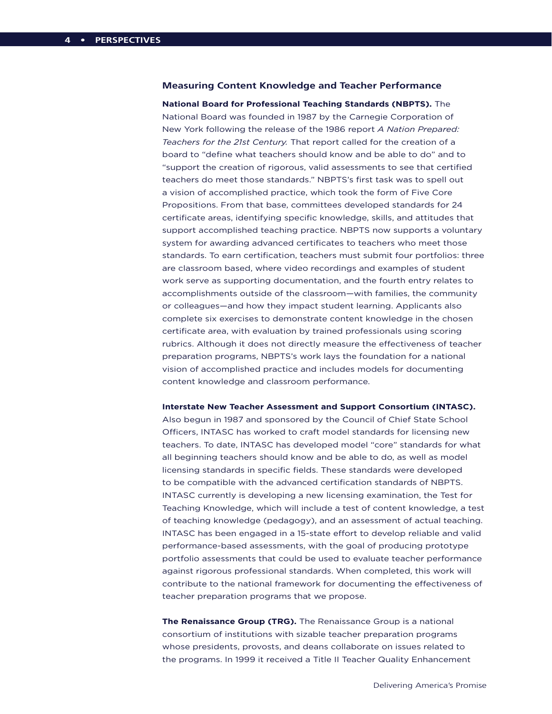### **Measuring Content Knowledge and Teacher Performance**

**National Board for Professional Teaching Standards (NBPTS).** The National Board was founded in 1987 by the Carnegie Corporation of New York following the release of the 1986 report *A Nation Prepared: Teachers for the 21st Century.* That report called for the creation of a board to "define what teachers should know and be able to do" and to "support the creation of rigorous, valid assessments to see that certified teachers do meet those standards." NBPTS's first task was to spell out a vision of accomplished practice, which took the form of Five Core Propositions. From that base, committees developed standards for 24 certificate areas, identifying specific knowledge, skills, and attitudes that support accomplished teaching practice. NBPTS now supports a voluntary system for awarding advanced certificates to teachers who meet those standards. To earn certification, teachers must submit four portfolios: three are classroom based, where video recordings and examples of student work serve as supporting documentation, and the fourth entry relates to accomplishments outside of the classroom—with families, the community or colleagues—and how they impact student learning. Applicants also complete six exercises to demonstrate content knowledge in the chosen certificate area, with evaluation by trained professionals using scoring rubrics. Although it does not directly measure the effectiveness of teacher preparation programs, NBPTS's work lays the foundation for a national vision of accomplished practice and includes models for documenting content knowledge and classroom performance.

### **Interstate New Teacher Assessment and Support Consortium (INTASC).**

Also begun in 1987 and sponsored by the Council of Chief State School Officers, INTASC has worked to craft model standards for licensing new teachers. To date, INTASC has developed model "core" standards for what all beginning teachers should know and be able to do, as well as model licensing standards in specific fields. These standards were developed to be compatible with the advanced certification standards of NBPTS. INTASC currently is developing a new licensing examination, the Test for Teaching Knowledge, which will include a test of content knowledge, a test of teaching knowledge (pedagogy), and an assessment of actual teaching. INTASC has been engaged in a 15-state effort to develop reliable and valid performance-based assessments, with the goal of producing prototype portfolio assessments that could be used to evaluate teacher performance against rigorous professional standards. When completed, this work will contribute to the national framework for documenting the effectiveness of teacher preparation programs that we propose.

**The Renaissance Group (TRG).** The Renaissance Group is a national consortium of institutions with sizable teacher preparation programs whose presidents, provosts, and deans collaborate on issues related to the programs. In 1999 it received a Title II Teacher Quality Enhancement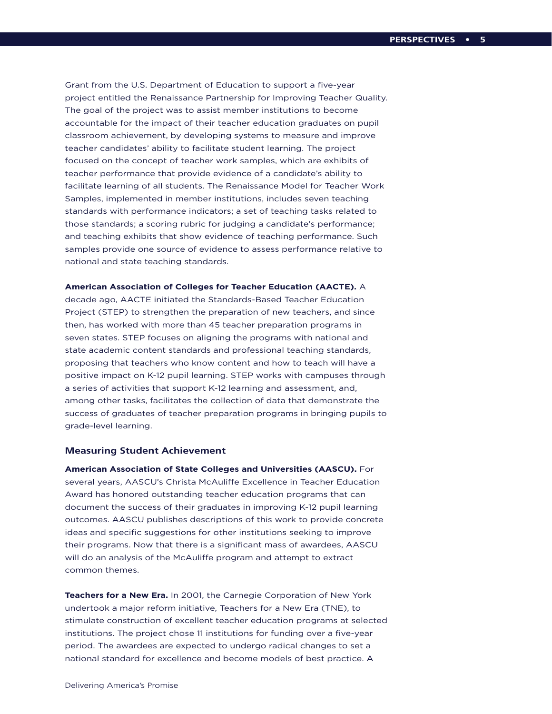Grant from the U.S. Department of Education to support a five-year project entitled the Renaissance Partnership for Improving Teacher Quality. The goal of the project was to assist member institutions to become accountable for the impact of their teacher education graduates on pupil classroom achievement, by developing systems to measure and improve teacher candidates' ability to facilitate student learning. The project focused on the concept of teacher work samples, which are exhibits of teacher performance that provide evidence of a candidate's ability to facilitate learning of all students. The Renaissance Model for Teacher Work Samples, implemented in member institutions, includes seven teaching standards with performance indicators; a set of teaching tasks related to those standards; a scoring rubric for judging a candidate's performance; and teaching exhibits that show evidence of teaching performance. Such samples provide one source of evidence to assess performance relative to national and state teaching standards.

**American Association of Colleges for Teacher Education (AACTE).** A

decade ago, AACTE initiated the Standards-Based Teacher Education Project (STEP) to strengthen the preparation of new teachers, and since then, has worked with more than 45 teacher preparation programs in seven states. STEP focuses on aligning the programs with national and state academic content standards and professional teaching standards, proposing that teachers who know content and how to teach will have a positive impact on K-12 pupil learning. STEP works with campuses through a series of activities that support K-12 learning and assessment, and, among other tasks, facilitates the collection of data that demonstrate the success of graduates of teacher preparation programs in bringing pupils to grade-level learning.

### **Measuring Student Achievement**

**American Association of State Colleges and Universities (AASCU).** For several years, AASCU's Christa McAuliffe Excellence in Teacher Education Award has honored outstanding teacher education programs that can document the success of their graduates in improving K-12 pupil learning outcomes. AASCU publishes descriptions of this work to provide concrete ideas and specific suggestions for other institutions seeking to improve their programs. Now that there is a significant mass of awardees, AASCU will do an analysis of the McAuliffe program and attempt to extract common themes.

**Teachers for a New Era.** In 2001, the Carnegie Corporation of New York undertook a major reform initiative, Teachers for a New Era (TNE), to stimulate construction of excellent teacher education programs at selected institutions. The project chose 11 institutions for funding over a five-year period. The awardees are expected to undergo radical changes to set a national standard for excellence and become models of best practice. A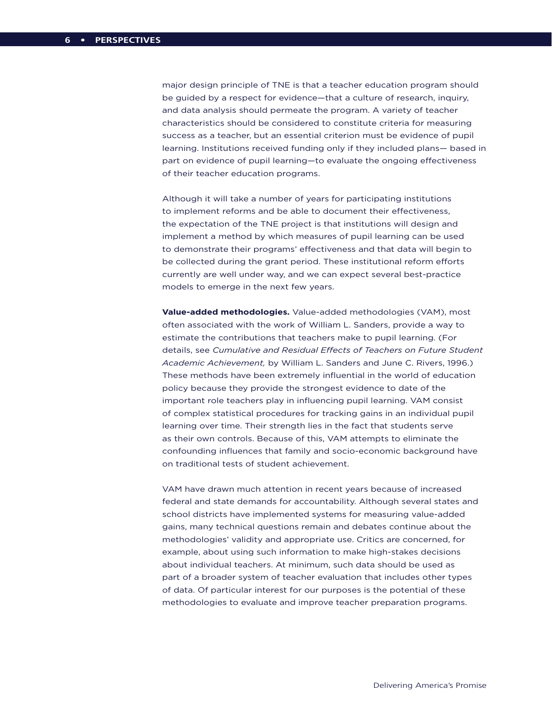major design principle of TNE is that a teacher education program should be guided by a respect for evidence—that a culture of research, inquiry, and data analysis should permeate the program. A variety of teacher characteristics should be considered to constitute criteria for measuring success as a teacher, but an essential criterion must be evidence of pupil learning. Institutions received funding only if they included plans— based in part on evidence of pupil learning—to evaluate the ongoing effectiveness of their teacher education programs.

Although it will take a number of years for participating institutions to implement reforms and be able to document their effectiveness, the expectation of the TNE project is that institutions will design and implement a method by which measures of pupil learning can be used to demonstrate their programs' effectiveness and that data will begin to be collected during the grant period. These institutional reform efforts currently are well under way, and we can expect several best-practice models to emerge in the next few years.

**Value-added methodologies.** Value-added methodologies (VAM), most often associated with the work of William L. Sanders, provide a way to estimate the contributions that teachers make to pupil learning. (For details, see *Cumulative and Residual Effects of Teachers on Future Student Academic Achievement,* by William L. Sanders and June C. Rivers, 1996.) These methods have been extremely influential in the world of education policy because they provide the strongest evidence to date of the important role teachers play in influencing pupil learning. VAM consist of complex statistical procedures for tracking gains in an individual pupil learning over time. Their strength lies in the fact that students serve as their own controls. Because of this, VAM attempts to eliminate the confounding influences that family and socio-economic background have on traditional tests of student achievement.

VAM have drawn much attention in recent years because of increased federal and state demands for accountability. Although several states and school districts have implemented systems for measuring value-added gains, many technical questions remain and debates continue about the methodologies' validity and appropriate use. Critics are concerned, for example, about using such information to make high-stakes decisions about individual teachers. At minimum, such data should be used as part of a broader system of teacher evaluation that includes other types of data. Of particular interest for our purposes is the potential of these methodologies to evaluate and improve teacher preparation programs.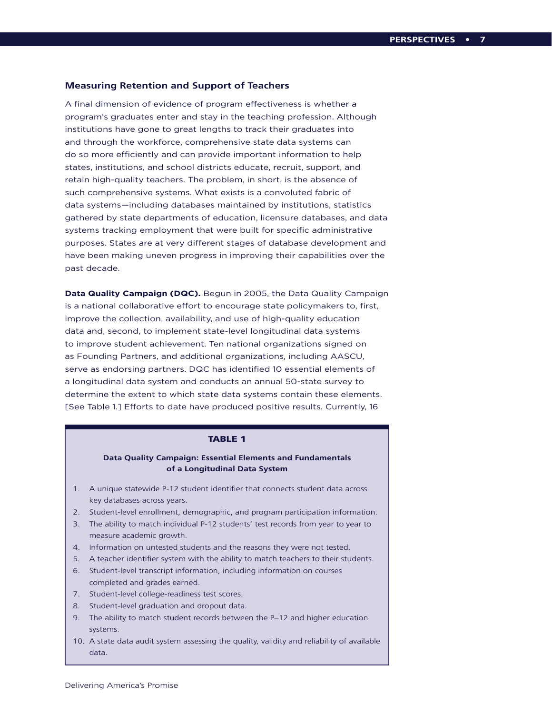### **Measuring Retention and Support of Teachers**

A final dimension of evidence of program effectiveness is whether a program's graduates enter and stay in the teaching profession. Although institutions have gone to great lengths to track their graduates into and through the workforce, comprehensive state data systems can do so more efficiently and can provide important information to help states, institutions, and school districts educate, recruit, support, and retain high-quality teachers. The problem, in short, is the absence of such comprehensive systems. What exists is a convoluted fabric of data systems—including databases maintained by institutions, statistics gathered by state departments of education, licensure databases, and data systems tracking employment that were built for specific administrative purposes. States are at very different stages of database development and have been making uneven progress in improving their capabilities over the past decade.

**Data Quality Campaign (DQC).** Begun in 2005, the Data Quality Campaign is a national collaborative effort to encourage state policymakers to, first, improve the collection, availability, and use of high-quality education data and, second, to implement state-level longitudinal data systems to improve student achievement. Ten national organizations signed on as Founding Partners, and additional organizations, including AASCU, serve as endorsing partners. DQC has identified 10 essential elements of a longitudinal data system and conducts an annual 50-state survey to determine the extent to which state data systems contain these elements. [See Table 1.] Efforts to date have produced positive results. Currently, 16

### **TABLE 1**

### **Data Quality Campaign: Essential Elements and Fundamentals of a Longitudinal Data System**

- 1. A unique statewide P-12 student identifier that connects student data across key databases across years.
- 2. Student-level enrollment, demographic, and program participation information.
- 3. The ability to match individual P-12 students' test records from year to year to measure academic growth.
- 4. Information on untested students and the reasons they were not tested.
- 5. A teacher identifier system with the ability to match teachers to their students.
- 6. Student-level transcript information, including information on courses completed and grades earned.
- 7. Student-level college-readiness test scores.
- 8. Student-level graduation and dropout data.
- 9. The ability to match student records between the P–12 and higher education systems.
- 10. A state data audit system assessing the quality, validity and reliability of available data.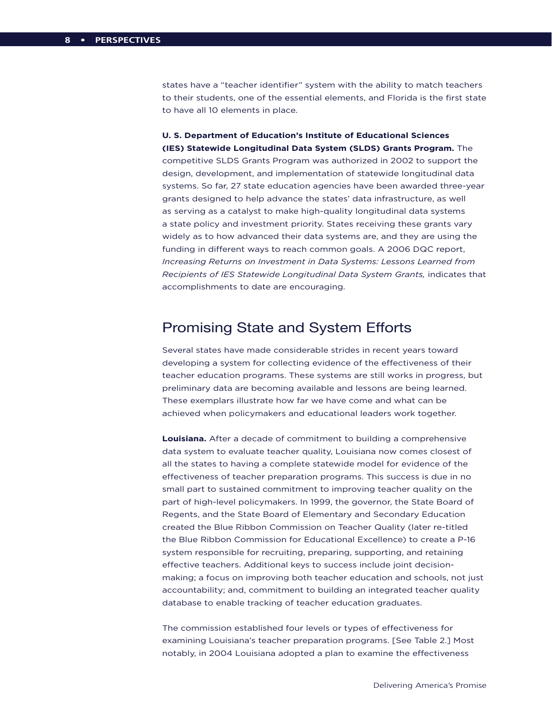states have a "teacher identifier" system with the ability to match teachers to their students, one of the essential elements, and Florida is the first state to have all 10 elements in place.

**U. S. Department of Education's Institute of Educational Sciences (IES) Statewide Longitudinal Data System (SLDS) Grants Program.** The competitive SLDS Grants Program was authorized in 2002 to support the design, development, and implementation of statewide longitudinal data systems. So far, 27 state education agencies have been awarded three-year grants designed to help advance the states' data infrastructure, as well as serving as a catalyst to make high-quality longitudinal data systems a state policy and investment priority. States receiving these grants vary widely as to how advanced their data systems are, and they are using the funding in different ways to reach common goals. A 2006 DQC report, *Increasing Returns on Investment in Data Systems: Lessons Learned from Recipients of IES Statewide Longitudinal Data System Grants,* indicates that accomplishments to date are encouraging.

# Promising State and System Efforts

Several states have made considerable strides in recent years toward developing a system for collecting evidence of the effectiveness of their teacher education programs. These systems are still works in progress, but preliminary data are becoming available and lessons are being learned. These exemplars illustrate how far we have come and what can be achieved when policymakers and educational leaders work together.

**Louisiana.** After a decade of commitment to building a comprehensive data system to evaluate teacher quality, Louisiana now comes closest of all the states to having a complete statewide model for evidence of the effectiveness of teacher preparation programs. This success is due in no small part to sustained commitment to improving teacher quality on the part of high-level policymakers. In 1999, the governor, the State Board of Regents, and the State Board of Elementary and Secondary Education created the Blue Ribbon Commission on Teacher Quality (later re-titled the Blue Ribbon Commission for Educational Excellence) to create a P-16 system responsible for recruiting, preparing, supporting, and retaining effective teachers. Additional keys to success include joint decisionmaking; a focus on improving both teacher education and schools, not just accountability; and, commitment to building an integrated teacher quality database to enable tracking of teacher education graduates.

The commission established four levels or types of effectiveness for examining Louisiana's teacher preparation programs. [See Table 2.] Most notably, in 2004 Louisiana adopted a plan to examine the effectiveness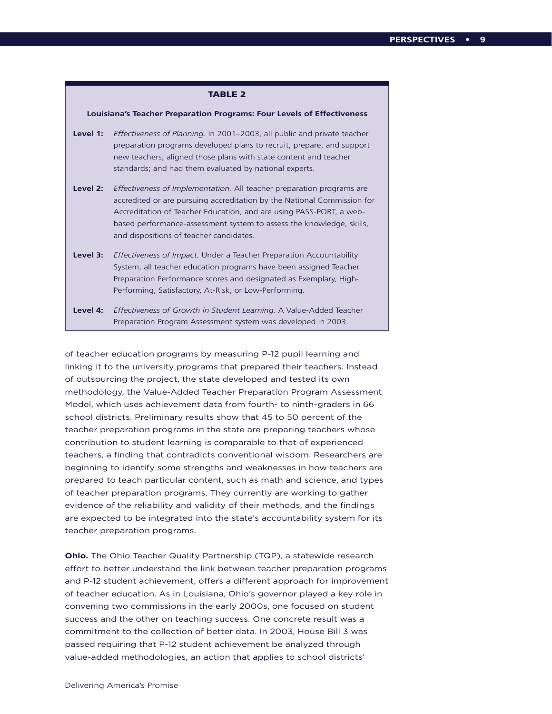### **TABLE 2**

### **Louisiana's Teacher Preparation Programs: Four Levels of Effectiveness**

- **Level 1:** *Effectiveness of Planning.* In 2001–2003, all public and private teacher preparation programs developed plans to recruit, prepare, and support new teachers; aligned those plans with state content and teacher standards; and had them evaluated by national experts.
- **Level 2:** *Effectiveness of Implementation.* All teacher preparation programs are accredited or are pursuing accreditation by the National Commission for Accreditation of Teacher Education, and are using PASS-PORT, a webbased performance-assessment system to assess the knowledge, skills, and dispositions of teacher candidates.
- **Level 3:** *Effectiveness of Impact.* Under a Teacher Preparation Accountability System, all teacher education programs have been assigned Teacher Preparation Performance scores and designated as Exemplary, High-Performing, Satisfactory, At-Risk, or Low-Performing.
- **Level 4:** *Effectiveness of Growth in Student Learning.* A Value-Added Teacher Preparation Program Assessment system was developed in 2003.

of teacher education programs by measuring P-12 pupil learning and linking it to the university programs that prepared their teachers. Instead of outsourcing the project, the state developed and tested its own methodology, the Value-Added Teacher Preparation Program Assessment Model, which uses achievement data from fourth- to ninth-graders in 66 school districts. Preliminary results show that 45 to 50 percent of the teacher preparation programs in the state are preparing teachers whose contribution to student learning is comparable to that of experienced teachers, a finding that contradicts conventional wisdom. Researchers are beginning to identify some strengths and weaknesses in how teachers are prepared to teach particular content, such as math and science, and types of teacher preparation programs. They currently are working to gather evidence of the reliability and validity of their methods, and the findings are expected to be integrated into the state's accountability system for its teacher preparation programs.

**Ohio.** The Ohio Teacher Quality Partnership (TQP), a statewide research effort to better understand the link between teacher preparation programs and P-12 student achievement, offers a different approach for improvement of teacher education. As in Louisiana, Ohio's governor played a key role in convening two commissions in the early 2000s, one focused on student success and the other on teaching success. One concrete result was a commitment to the collection of better data. In 2003, House Bill 3 was passed requiring that P-12 student achievement be analyzed through value-added methodologies, an action that applies to school districts'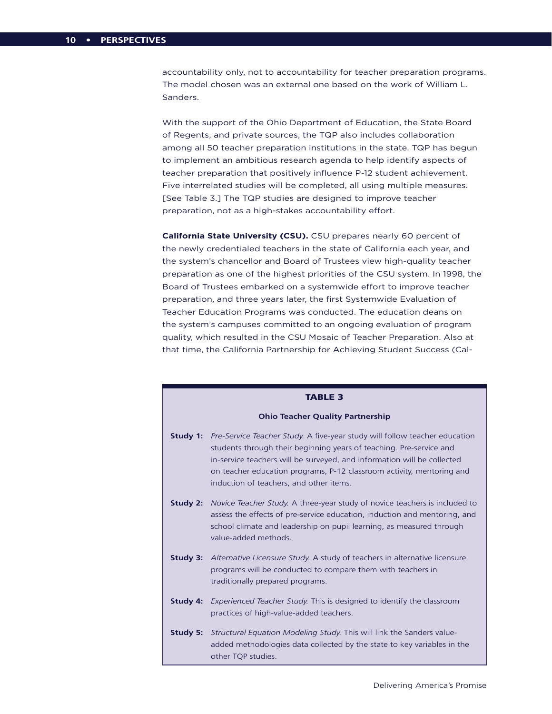accountability only, not to accountability for teacher preparation programs. The model chosen was an external one based on the work of William L. Sanders.

With the support of the Ohio Department of Education, the State Board of Regents, and private sources, the TQP also includes collaboration among all 50 teacher preparation institutions in the state. TQP has begun to implement an ambitious research agenda to help identify aspects of teacher preparation that positively influence P-12 student achievement. Five interrelated studies will be completed, all using multiple measures. [See Table 3.] The TQP studies are designed to improve teacher preparation, not as a high-stakes accountability effort.

**California State University (CSU).** CSU prepares nearly 60 percent of the newly credentialed teachers in the state of California each year, and the system's chancellor and Board of Trustees view high-quality teacher preparation as one of the highest priorities of the CSU system. In 1998, the Board of Trustees embarked on a systemwide effort to improve teacher preparation, and three years later, the first Systemwide Evaluation of Teacher Education Programs was conducted. The education deans on the system's campuses committed to an ongoing evaluation of program quality, which resulted in the CSU Mosaic of Teacher Preparation. Also at that time, the California Partnership for Achieving Student Success (Cal-

### **TABLE 3**

### **Ohio Teacher Quality Partnership**

- **Study 1:** *Pre-Service Teacher Study.* A five-year study will follow teacher education students through their beginning years of teaching. Pre-service and in-service teachers will be surveyed, and information will be collected on teacher education programs, P-12 classroom activity, mentoring and induction of teachers, and other items.
- **Study 2:** *Novice Teacher Study.* A three-year study of novice teachers is included to assess the effects of pre-service education, induction and mentoring, and school climate and leadership on pupil learning, as measured through value-added methods.
- **Study 3:** *Alternative Licensure Study.* A study of teachers in alternative licensure programs will be conducted to compare them with teachers in traditionally prepared programs.
- **Study 4:** *Experienced Teacher Study.* This is designed to identify the classroom practices of high-value-added teachers.
- **Study 5:** *Structural Equation Modeling Study.* This will link the Sanders valueadded methodologies data collected by the state to key variables in the other TQP studies.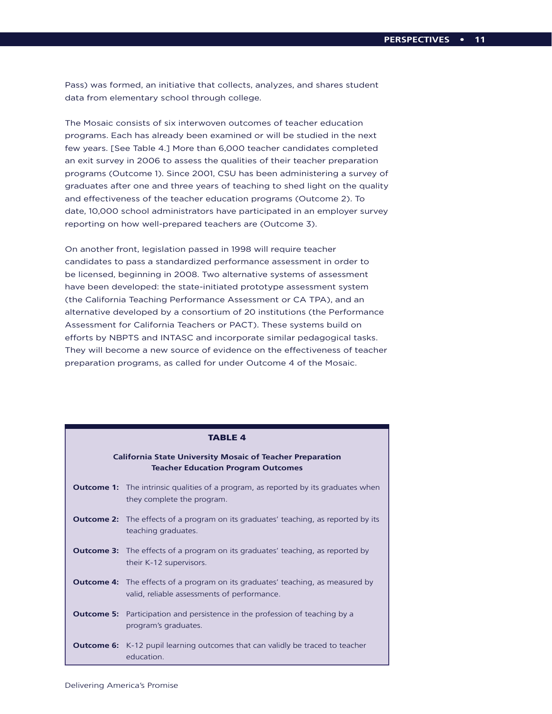Pass) was formed, an initiative that collects, analyzes, and shares student data from elementary school through college.

The Mosaic consists of six interwoven outcomes of teacher education programs. Each has already been examined or will be studied in the next few years. [See Table 4.] More than 6,000 teacher candidates completed an exit survey in 2006 to assess the qualities of their teacher preparation programs (Outcome 1). Since 2001, CSU has been administering a survey of graduates after one and three years of teaching to shed light on the quality and effectiveness of the teacher education programs (Outcome 2). To date, 10,000 school administrators have participated in an employer survey reporting on how well-prepared teachers are (Outcome 3).

On another front, legislation passed in 1998 will require teacher candidates to pass a standardized performance assessment in order to be licensed, beginning in 2008. Two alternative systems of assessment have been developed: the state-initiated prototype assessment system (the California Teaching Performance Assessment or CA TPA), and an alternative developed by a consortium of 20 institutions (the Performance Assessment for California Teachers or PACT). These systems build on efforts by NBPTS and INTASC and incorporate similar pedagogical tasks. They will become a new source of evidence on the effectiveness of teacher preparation programs, as called for under Outcome 4 of the Mosaic.

### **California State University Mosaic of Teacher Preparation Teacher Education Program Outcomes**

- **Outcome 1:** The intrinsic qualities of a program, as reported by its graduates when they complete the program.
- **Outcome 2:** The effects of a program on its graduates' teaching, as reported by its teaching graduates.
- **Outcome 3:** The effects of a program on its graduates' teaching, as reported by their K-12 supervisors.
- **Outcome 4:** The effects of a program on its graduates' teaching, as measured by valid, reliable assessments of performance.
- **Outcome 5:** Participation and persistence in the profession of teaching by a program's graduates.
- **Outcome 6:** K-12 pupil learning outcomes that can validly be traced to teacher education.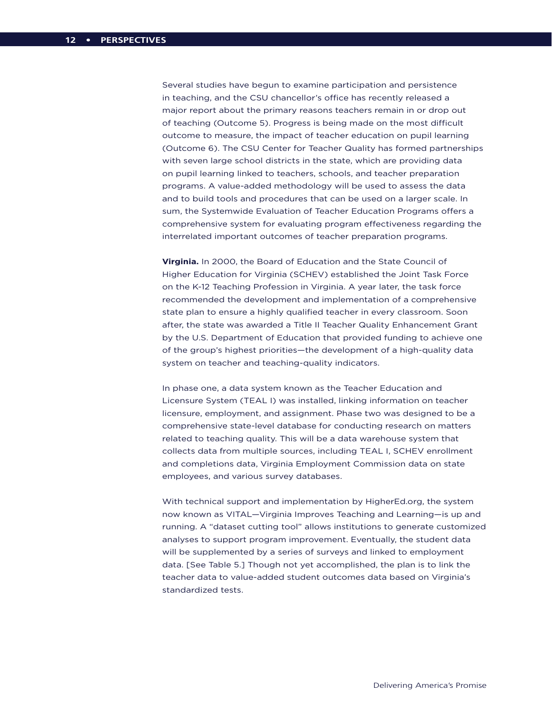Several studies have begun to examine participation and persistence in teaching, and the CSU chancellor's office has recently released a major report about the primary reasons teachers remain in or drop out of teaching (Outcome 5). Progress is being made on the most difficult outcome to measure, the impact of teacher education on pupil learning (Outcome 6). The CSU Center for Teacher Quality has formed partnerships with seven large school districts in the state, which are providing data on pupil learning linked to teachers, schools, and teacher preparation programs. A value-added methodology will be used to assess the data and to build tools and procedures that can be used on a larger scale. In sum, the Systemwide Evaluation of Teacher Education Programs offers a comprehensive system for evaluating program effectiveness regarding the interrelated important outcomes of teacher preparation programs.

**Virginia.** In 2000, the Board of Education and the State Council of Higher Education for Virginia (SCHEV) established the Joint Task Force on the K-12 Teaching Profession in Virginia. A year later, the task force recommended the development and implementation of a comprehensive state plan to ensure a highly qualified teacher in every classroom. Soon after, the state was awarded a Title II Teacher Quality Enhancement Grant by the U.S. Department of Education that provided funding to achieve one of the group's highest priorities—the development of a high-quality data system on teacher and teaching-quality indicators.

In phase one, a data system known as the Teacher Education and Licensure System (TEAL I) was installed, linking information on teacher licensure, employment, and assignment. Phase two was designed to be a comprehensive state-level database for conducting research on matters related to teaching quality. This will be a data warehouse system that collects data from multiple sources, including TEAL I, SCHEV enrollment and completions data, Virginia Employment Commission data on state employees, and various survey databases.

With technical support and implementation by HigherEd.org, the system now known as VITAL—Virginia Improves Teaching and Learning—is up and running. A "dataset cutting tool" allows institutions to generate customized analyses to support program improvement. Eventually, the student data will be supplemented by a series of surveys and linked to employment data. [See Table 5.] Though not yet accomplished, the plan is to link the teacher data to value-added student outcomes data based on Virginia's standardized tests.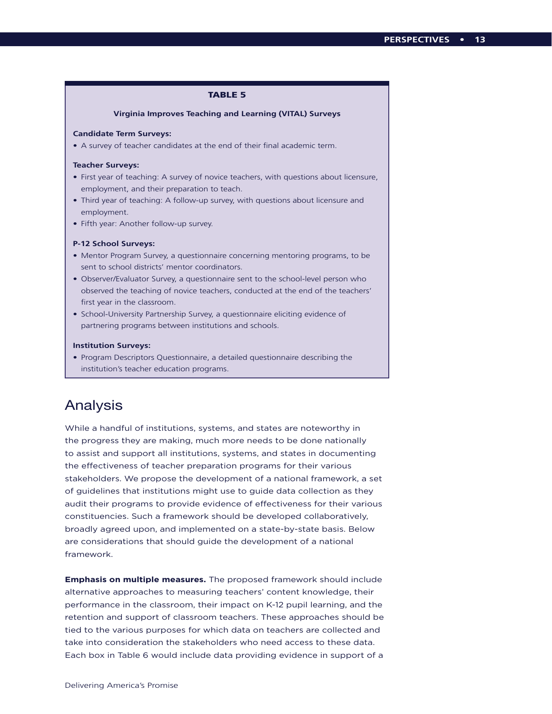### **TABLE 5**

### **Virginia Improves Teaching and Learning (VITAL) Surveys**

### **Candidate Term Surveys:**

• A survey of teacher candidates at the end of their final academic term.

### **Teacher Surveys:**

- First year of teaching: A survey of novice teachers, with questions about licensure, employment, and their preparation to teach.
- Third year of teaching: A follow-up survey, with questions about licensure and employment.
- Fifth year: Another follow-up survey.

### **P-12 School Surveys:**

- Mentor Program Survey, a questionnaire concerning mentoring programs, to be sent to school districts' mentor coordinators.
- Observer/Evaluator Survey, a questionnaire sent to the school-level person who observed the teaching of novice teachers, conducted at the end of the teachers' first year in the classroom.
- School-University Partnership Survey, a questionnaire eliciting evidence of partnering programs between institutions and schools.

### **Institution Surveys:**

• Program Descriptors Questionnaire, a detailed questionnaire describing the institution's teacher education programs.

# Analysis

While a handful of institutions, systems, and states are noteworthy in the progress they are making, much more needs to be done nationally to assist and support all institutions, systems, and states in documenting the effectiveness of teacher preparation programs for their various stakeholders. We propose the development of a national framework, a set of guidelines that institutions might use to guide data collection as they audit their programs to provide evidence of effectiveness for their various constituencies. Such a framework should be developed collaboratively, broadly agreed upon, and implemented on a state-by-state basis. Below are considerations that should guide the development of a national framework.

**Emphasis on multiple measures.** The proposed framework should include alternative approaches to measuring teachers' content knowledge, their performance in the classroom, their impact on K-12 pupil learning, and the retention and support of classroom teachers. These approaches should be tied to the various purposes for which data on teachers are collected and take into consideration the stakeholders who need access to these data. Each box in Table 6 would include data providing evidence in support of a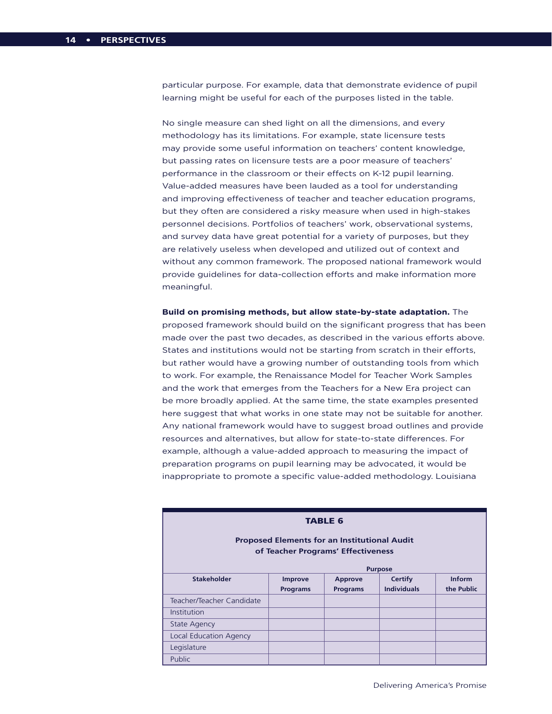particular purpose. For example, data that demonstrate evidence of pupil learning might be useful for each of the purposes listed in the table.

No single measure can shed light on all the dimensions, and every methodology has its limitations. For example, state licensure tests may provide some useful information on teachers' content knowledge, but passing rates on licensure tests are a poor measure of teachers' performance in the classroom or their effects on K-12 pupil learning. Value-added measures have been lauded as a tool for understanding and improving effectiveness of teacher and teacher education programs, but they often are considered a risky measure when used in high-stakes personnel decisions. Portfolios of teachers' work, observational systems, and survey data have great potential for a variety of purposes, but they are relatively useless when developed and utilized out of context and without any common framework. The proposed national framework would provide guidelines for data-collection efforts and make information more meaningful.

**Build on promising methods, but allow state-by-state adaptation.** The proposed framework should build on the significant progress that has been made over the past two decades, as described in the various efforts above. States and institutions would not be starting from scratch in their efforts, but rather would have a growing number of outstanding tools from which to work. For example, the Renaissance Model for Teacher Work Samples and the work that emerges from the Teachers for a New Era project can be more broadly applied. At the same time, the state examples presented here suggest that what works in one state may not be suitable for another. Any national framework would have to suggest broad outlines and provide resources and alternatives, but allow for state-to-state differences. For example, although a value-added approach to measuring the impact of preparation programs on pupil learning may be advocated, it would be inappropriate to promote a specific value-added methodology. Louisiana

| <b>TABLE 6</b>                                                                            |                                                                         |                 |                    |            |
|-------------------------------------------------------------------------------------------|-------------------------------------------------------------------------|-----------------|--------------------|------------|
| <b>Proposed Elements for an Institutional Audit</b><br>of Teacher Programs' Effectiveness |                                                                         |                 |                    |            |
| <b>Stakeholder</b>                                                                        | <b>Purpose</b><br>Inform<br><b>Certify</b><br>Improve<br><b>Approve</b> |                 |                    |            |
|                                                                                           | <b>Programs</b>                                                         | <b>Programs</b> | <b>Individuals</b> | the Public |
| Teacher/Teacher Candidate                                                                 |                                                                         |                 |                    |            |
| Institution                                                                               |                                                                         |                 |                    |            |
| <b>State Agency</b>                                                                       |                                                                         |                 |                    |            |
| <b>Local Education Agency</b>                                                             |                                                                         |                 |                    |            |
| Legislature                                                                               |                                                                         |                 |                    |            |
| <b>Public</b>                                                                             |                                                                         |                 |                    |            |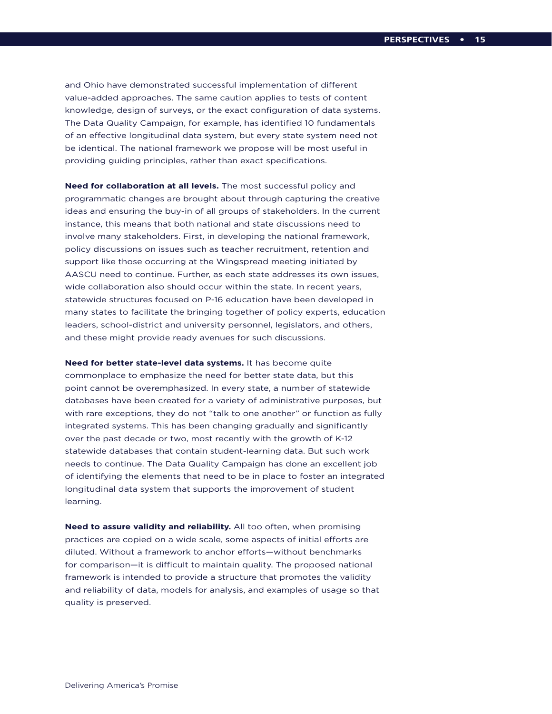and Ohio have demonstrated successful implementation of different value-added approaches. The same caution applies to tests of content knowledge, design of surveys, or the exact configuration of data systems. The Data Quality Campaign, for example, has identified 10 fundamentals of an effective longitudinal data system, but every state system need not be identical. The national framework we propose will be most useful in providing guiding principles, rather than exact specifications.

**Need for collaboration at all levels.** The most successful policy and programmatic changes are brought about through capturing the creative ideas and ensuring the buy-in of all groups of stakeholders. In the current instance, this means that both national and state discussions need to involve many stakeholders. First, in developing the national framework, policy discussions on issues such as teacher recruitment, retention and support like those occurring at the Wingspread meeting initiated by AASCU need to continue. Further, as each state addresses its own issues, wide collaboration also should occur within the state. In recent years, statewide structures focused on P-16 education have been developed in many states to facilitate the bringing together of policy experts, education leaders, school-district and university personnel, legislators, and others, and these might provide ready avenues for such discussions.

**Need for better state-level data systems.** It has become quite commonplace to emphasize the need for better state data, but this point cannot be overemphasized. In every state, a number of statewide databases have been created for a variety of administrative purposes, but with rare exceptions, they do not "talk to one another" or function as fully integrated systems. This has been changing gradually and significantly over the past decade or two, most recently with the growth of K-12 statewide databases that contain student-learning data. But such work needs to continue. The Data Quality Campaign has done an excellent job of identifying the elements that need to be in place to foster an integrated longitudinal data system that supports the improvement of student learning.

**Need to assure validity and reliability.** All too often, when promising practices are copied on a wide scale, some aspects of initial efforts are diluted. Without a framework to anchor efforts—without benchmarks for comparison—it is difficult to maintain quality. The proposed national framework is intended to provide a structure that promotes the validity and reliability of data, models for analysis, and examples of usage so that quality is preserved.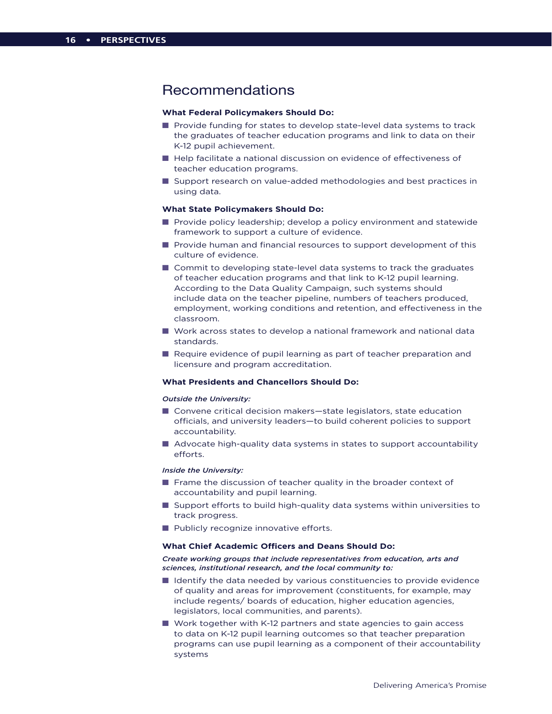## Recommendations

### **What Federal Policymakers Should Do:**

- $\blacksquare$  Provide funding for states to develop state-level data systems to track the graduates of teacher education programs and link to data on their K-12 pupil achievement.
- $\blacksquare$  Help facilitate a national discussion on evidence of effectiveness of teacher education programs.
- Support research on value-added methodologies and best practices in using data.

### **What State Policymakers Should Do:**

- **n** Provide policy leadership; develop a policy environment and statewide framework to support a culture of evidence.
- $\blacksquare$  Provide human and financial resources to support development of this culture of evidence.
- $\blacksquare$  Commit to developing state-level data systems to track the graduates of teacher education programs and that link to K-12 pupil learning. According to the Data Quality Campaign, such systems should include data on the teacher pipeline, numbers of teachers produced, employment, working conditions and retention, and effectiveness in the classroom.
- Work across states to develop a national framework and national data standards.
- **n** Require evidence of pupil learning as part of teacher preparation and licensure and program accreditation.

### **What Presidents and Chancellors Should Do:**

### *Outside the University:*

- Convene critical decision makers-state legislators, state education officials, and university leaders—to build coherent policies to support accountability.
- Advocate high-quality data systems in states to support accountability efforts.

### *Inside the University:*

- $\blacksquare$  Frame the discussion of teacher quality in the broader context of accountability and pupil learning.
- **n** Support efforts to build high-quality data systems within universities to track progress.
- $\blacksquare$  Publicly recognize innovative efforts.

### **What Chief Academic Officers and Deans Should Do:**

### *Create working groups that include representatives from education, arts and sciences, institutional research, and the local community to:*

- $\blacksquare$  Identify the data needed by various constituencies to provide evidence of quality and areas for improvement (constituents, for example, may include regents/ boards of education, higher education agencies, legislators, local communities, and parents).
- $\blacksquare$  Work together with K-12 partners and state agencies to gain access to data on K-12 pupil learning outcomes so that teacher preparation programs can use pupil learning as a component of their accountability systems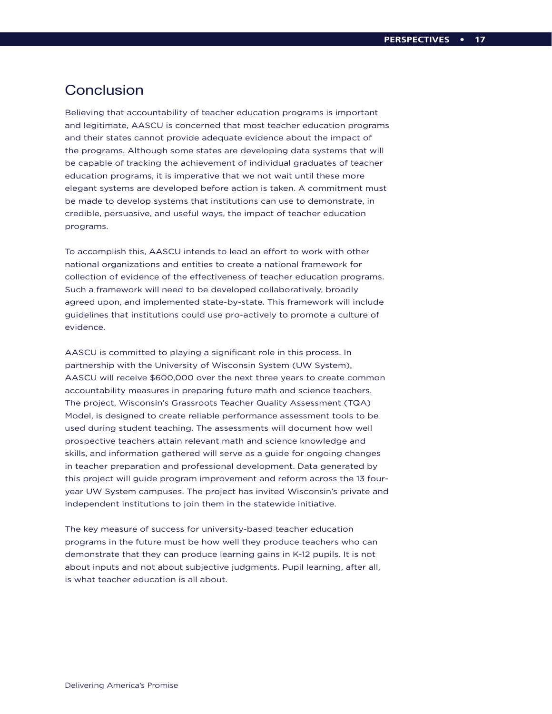# **Conclusion**

Believing that accountability of teacher education programs is important and legitimate, AASCU is concerned that most teacher education programs and their states cannot provide adequate evidence about the impact of the programs. Although some states are developing data systems that will be capable of tracking the achievement of individual graduates of teacher education programs, it is imperative that we not wait until these more elegant systems are developed before action is taken. A commitment must be made to develop systems that institutions can use to demonstrate, in credible, persuasive, and useful ways, the impact of teacher education programs.

To accomplish this, AASCU intends to lead an effort to work with other national organizations and entities to create a national framework for collection of evidence of the effectiveness of teacher education programs. Such a framework will need to be developed collaboratively, broadly agreed upon, and implemented state-by-state. This framework will include guidelines that institutions could use pro-actively to promote a culture of evidence.

AASCU is committed to playing a significant role in this process. In partnership with the University of Wisconsin System (UW System), AASCU will receive \$600,000 over the next three years to create common accountability measures in preparing future math and science teachers. The project, Wisconsin's Grassroots Teacher Quality Assessment (TQA) Model, is designed to create reliable performance assessment tools to be used during student teaching. The assessments will document how well prospective teachers attain relevant math and science knowledge and skills, and information gathered will serve as a guide for ongoing changes in teacher preparation and professional development. Data generated by this project will guide program improvement and reform across the 13 fouryear UW System campuses. The project has invited Wisconsin's private and independent institutions to join them in the statewide initiative.

The key measure of success for university-based teacher education programs in the future must be how well they produce teachers who can demonstrate that they can produce learning gains in K-12 pupils. It is not about inputs and not about subjective judgments. Pupil learning, after all, is what teacher education is all about.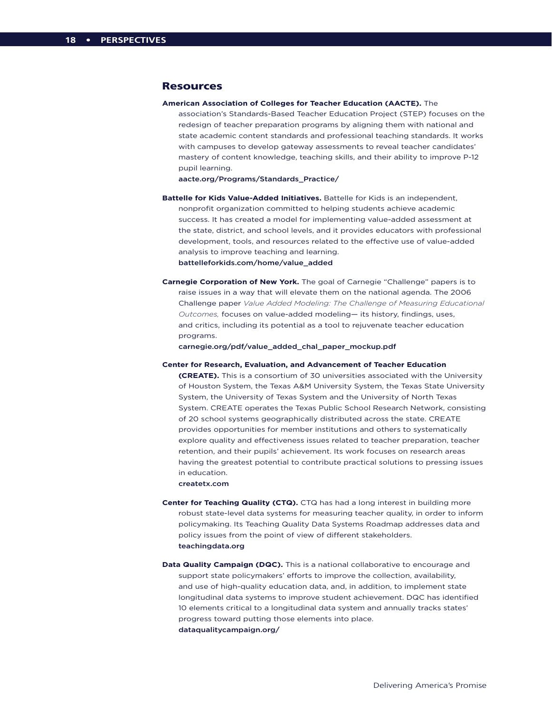### Resources

**American Association of Colleges for Teacher Education (AACTE).** The

association's Standards-Based Teacher Education Project (STEP) focuses on the redesign of teacher preparation programs by aligning them with national and state academic content standards and professional teaching standards. It works with campuses to develop gateway assessments to reveal teacher candidates' mastery of content knowledge, teaching skills, and their ability to improve P-12 pupil learning.

aacte.org/Programs/Standards\_Practice/

- **Battelle for Kids Value-Added Initiatives.** Battelle for Kids is an independent, nonprofit organization committed to helping students achieve academic success. It has created a model for implementing value-added assessment at the state, district, and school levels, and it provides educators with professional development, tools, and resources related to the effective use of value-added analysis to improve teaching and learning. battelleforkids.com/home/value\_added
- **Carnegie Corporation of New York.** The goal of Carnegie "Challenge" papers is to raise issues in a way that will elevate them on the national agenda. The 2006 Challenge paper *Value Added Modeling: The Challenge of Measuring Educational Outcomes,* focuses on value-added modeling— its history, findings, uses, and critics, including its potential as a tool to rejuvenate teacher education programs.

carnegie.org/pdf/value\_added\_chal\_paper\_mockup.pdf

**Center for Research, Evaluation, and Advancement of Teacher Education** 

**(CREATE).** This is a consortium of 30 universities associated with the University of Houston System, the Texas A&M University System, the Texas State University System, the University of Texas System and the University of North Texas System. CREATE operates the Texas Public School Research Network, consisting of 20 school systems geographically distributed across the state. CREATE provides opportunities for member institutions and others to systematically explore quality and effectiveness issues related to teacher preparation, teacher retention, and their pupils' achievement. Its work focuses on research areas having the greatest potential to contribute practical solutions to pressing issues in education.

createtx.com

- **Center for Teaching Quality (CTQ).** CTQ has had a long interest in building more robust state-level data systems for measuring teacher quality, in order to inform policymaking. Its Teaching Quality Data Systems Roadmap addresses data and policy issues from the point of view of different stakeholders. teachingdata.org
- **Data Quality Campaign (DQC).** This is a national collaborative to encourage and support state policymakers' efforts to improve the collection, availability, and use of high-quality education data, and, in addition, to implement state longitudinal data systems to improve student achievement. DQC has identified 10 elements critical to a longitudinal data system and annually tracks states' progress toward putting those elements into place. dataqualitycampaign.org/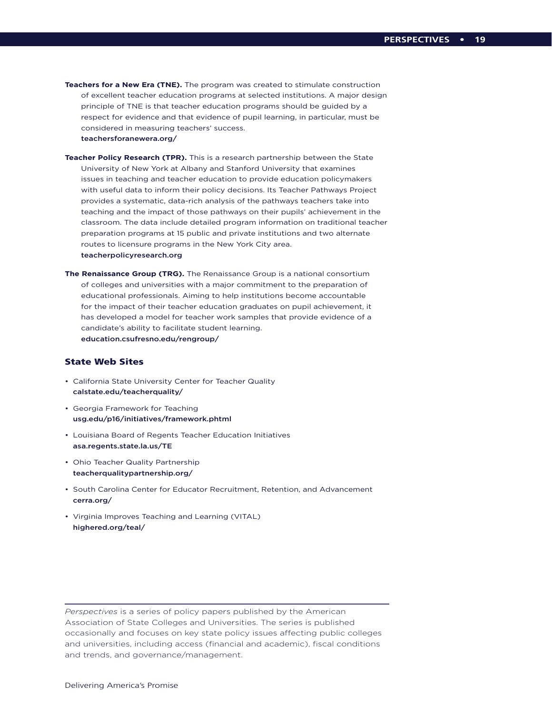- **Teachers for a New Era (TNE).** The program was created to stimulate construction of excellent teacher education programs at selected institutions. A major design principle of TNE is that teacher education programs should be guided by a respect for evidence and that evidence of pupil learning, in particular, must be considered in measuring teachers' success. teachersforanewera.org/
- **Teacher Policy Research (TPR).** This is a research partnership between the State University of New York at Albany and Stanford University that examines issues in teaching and teacher education to provide education policymakers with useful data to inform their policy decisions. Its Teacher Pathways Project provides a systematic, data-rich analysis of the pathways teachers take into teaching and the impact of those pathways on their pupils' achievement in the classroom. The data include detailed program information on traditional teacher preparation programs at 15 public and private institutions and two alternate routes to licensure programs in the New York City area. teacherpolicyresearch.org
- **The Renaissance Group (TRG).** The Renaissance Group is a national consortium of colleges and universities with a major commitment to the preparation of educational professionals. Aiming to help institutions become accountable for the impact of their teacher education graduates on pupil achievement, it has developed a model for teacher work samples that provide evidence of a candidate's ability to facilitate student learning. education.csufresno.edu/rengroup/

### State Web Sites

- California State University Center for Teacher Quality calstate.edu/teacherquality/
- Georgia Framework for Teaching usg.edu/p16/initiatives/framework.phtml
- Louisiana Board of Regents Teacher Education Initiatives asa.regents.state.la.us/TE
- Ohio Teacher Quality Partnership teacherqualitypartnership.org/
- South Carolina Center for Educator Recruitment, Retention, and Advancement cerra.org/
- Virginia Improves Teaching and Learning (VITAL) highered.org/teal/

*Perspectives* is a series of policy papers published by the American Association of State Colleges and Universities. The series is published occasionally and focuses on key state policy issues affecting public colleges and universities, including access (financial and academic), fiscal conditions and trends, and governance/management.